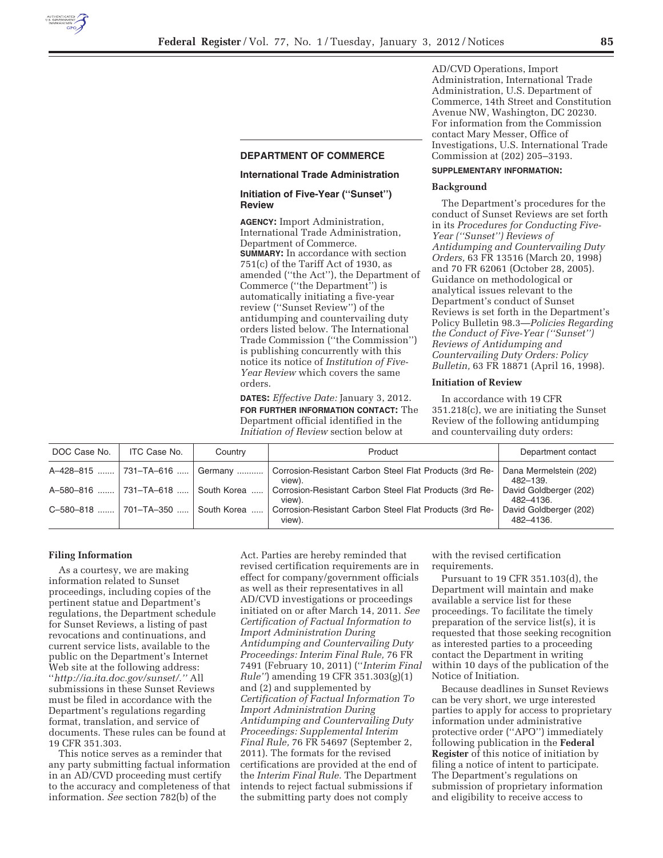

## **DEPARTMENT OF COMMERCE**

## **International Trade Administration**

# **Initiation of Five-Year (''Sunset'') Review**

**AGENCY:** Import Administration, International Trade Administration, Department of Commerce. **SUMMARY:** In accordance with section 751(c) of the Tariff Act of 1930, as amended (''the Act''), the Department of Commerce (''the Department'') is automatically initiating a five-year review (''Sunset Review'') of the antidumping and countervailing duty orders listed below. The International Trade Commission (''the Commission'') is publishing concurrently with this notice its notice of *Institution of Five-Year Review* which covers the same orders.

**DATES:** *Effective Date:* January 3, 2012. **FOR FURTHER INFORMATION CONTACT:** The Department official identified in the *Initiation of Review* section below at

AD/CVD Operations, Import Administration, International Trade Administration, U.S. Department of Commerce, 14th Street and Constitution Avenue NW, Washington, DC 20230. For information from the Commission contact Mary Messer, Office of Investigations, U.S. International Trade Commission at (202) 205–3193.

# **SUPPLEMENTARY INFORMATION:**

#### **Background**

The Department's procedures for the conduct of Sunset Reviews are set forth in its *Procedures for Conducting Five-Year (''Sunset'') Reviews of Antidumping and Countervailing Duty Orders,* 63 FR 13516 (March 20, 1998) and 70 FR 62061 (October 28, 2005). Guidance on methodological or analytical issues relevant to the Department's conduct of Sunset Reviews is set forth in the Department's Policy Bulletin 98.3—*Policies Regarding the Conduct of Five-Year (''Sunset'') Reviews of Antidumping and Countervailing Duty Orders: Policy Bulletin,* 63 FR 18871 (April 16, 1998).

## **Initiation of Review**

In accordance with 19 CFR 351.218(c), we are initiating the Sunset Review of the following antidumping and countervailing duty orders:

| DOC Case No. | ITC Case No.          | Country     | Product                                                           | Department contact                  |
|--------------|-----------------------|-------------|-------------------------------------------------------------------|-------------------------------------|
|              | A-428-815  731-TA-616 | Germany     | Corrosion-Resistant Carbon Steel Flat Products (3rd Re-<br>view). | Dana Mermelstein (202)<br>482-139.  |
|              | A-580-816  731-TA-618 | South Korea | Corrosion-Resistant Carbon Steel Flat Products (3rd Re-<br>view). | David Goldberger (202)<br>482-4136. |
| C-580-818    | 701-TA-350            | South Korea | Corrosion-Resistant Carbon Steel Flat Products (3rd Re-<br>view). | David Goldberger (202)<br>482-4136. |

## **Filing Information**

As a courtesy, we are making information related to Sunset proceedings, including copies of the pertinent statue and Department's regulations, the Department schedule for Sunset Reviews, a listing of past revocations and continuations, and current service lists, available to the public on the Department's Internet Web site at the following address: ''*http://ia.ita.doc.gov/sunset/.''* All submissions in these Sunset Reviews must be filed in accordance with the Department's regulations regarding format, translation, and service of documents. These rules can be found at 19 CFR 351.303.

This notice serves as a reminder that any party submitting factual information in an AD/CVD proceeding must certify to the accuracy and completeness of that information. *See* section 782(b) of the

Act. Parties are hereby reminded that revised certification requirements are in effect for company/government officials as well as their representatives in all AD/CVD investigations or proceedings initiated on or after March 14, 2011. *See Certification of Factual Information to Import Administration During Antidumping and Countervailing Duty Proceedings: Interim Final Rule,* 76 FR 7491 (February 10, 2011) (''*Interim Final Rule''*) amending 19 CFR 351.303(g)(1) and (2) and supplemented by *Certification of Factual Information To Import Administration During Antidumping and Countervailing Duty Proceedings: Supplemental Interim Final Rule,* 76 FR 54697 (September 2, 2011). The formats for the revised certifications are provided at the end of the *Interim Final Rule.* The Department intends to reject factual submissions if the submitting party does not comply

with the revised certification requirements.

Pursuant to 19 CFR 351.103(d), the Department will maintain and make available a service list for these proceedings. To facilitate the timely preparation of the service list(s), it is requested that those seeking recognition as interested parties to a proceeding contact the Department in writing within 10 days of the publication of the Notice of Initiation.

Because deadlines in Sunset Reviews can be very short, we urge interested parties to apply for access to proprietary information under administrative protective order (''APO'') immediately following publication in the **Federal Register** of this notice of initiation by filing a notice of intent to participate. The Department's regulations on submission of proprietary information and eligibility to receive access to